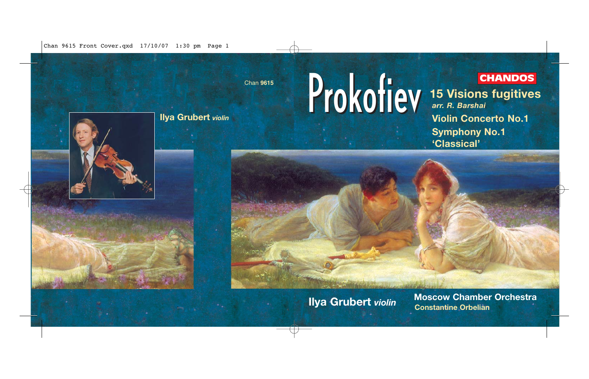Chan 9615 Front Cover.qxd 17/10/07 1:30 pm Page 1

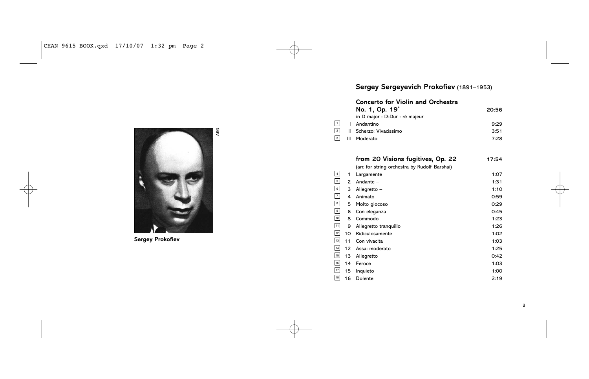

**Sergey Prokofiev**

# **Sergey Sergeyevich Prokofiev** (1891–1953)

## **Concerto for Violin and Orchestra**

3 2 1

| No. 1, Op. 19 <sup>*</sup>           | 20:56 |
|--------------------------------------|-------|
| in D major · D-Dur · ré majeur       |       |
| Andantino                            | 9.29  |
| Scherzo: Vivacissimo<br>$\mathbf{u}$ | 3:51  |
| Moderato                             | 7:28  |
|                                      |       |

|                                         |    | from 20 Visions fugitives, Op. 22             | 17:54 |
|-----------------------------------------|----|-----------------------------------------------|-------|
|                                         |    | (arr. for string orchestra by Rudolf Barshai) |       |
|                                         | 1  | Largamente                                    | 1:07  |
| 5                                       | 2  | Andante -                                     | 1:31  |
| 6                                       | 3  | Allegretto -                                  | 1:10  |
| $\overline{7}$                          | 4  | Animato                                       | 0:59  |
| $\begin{array}{c}\n8 \\ 9\n\end{array}$ | 5  | Molto giocoso                                 | 0:29  |
|                                         | 6  | Con eleganza                                  | 0:45  |
| 10                                      | 8  | Commodo                                       | 1:23  |
| $\frac{11}{12}$                         | 9  | Allegretto tranguillo                         | 1:26  |
|                                         | 10 | Ridiculosamente                               | 1:02  |
| $\overline{13}$                         | 11 | Con vivacita                                  | 1:03  |
| $\frac{14}{2}$                          | 12 | Assai moderato                                | 1:25  |
| 15                                      | 13 | Allegretto                                    | 0:42  |
| $\overline{16}$                         | 14 | Feroce                                        | 1:03  |
| $17\overline{ }$                        | 15 | Inquieto                                      | 1:00  |
| 18                                      | 16 | Dolente                                       | 2:19  |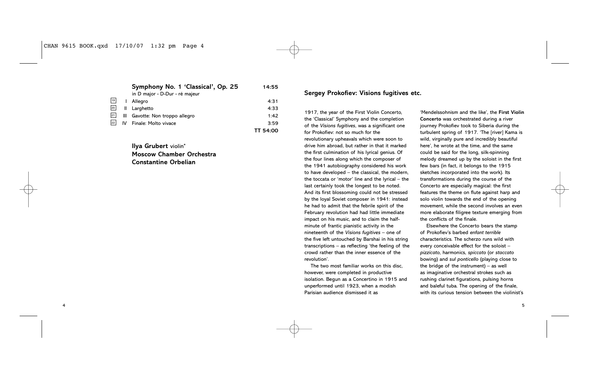**Symphony No. 1 'Classical', Op. 25 14:55** in D major • D-Dur • ré majeur I Allegro 4:31 II Larghetto 4:33 III Gavotte: Non troppo allegro 1:42  $\frac{22}{10}$  IV Finale: Molto vivace 3:59 **TT 54:00** 21 20 19

> **Ilya Grubert** violin\* **Moscow Chamber Orchestra Constantine Orbelian**

**Sergey Prokofiev: Visions fugitives etc.**

1917, the year of the First Violin Concerto, the 'Classical' Symphony and the completion of the *Visions fugitives*, was a significant one for Prokofiev: not so much for the revolutionary upheavals which were soon to drive him abroad, but rather in that it marked the first culmination of his lyrical genius. Of the four lines along which the composer of the 1941 autobiography considered his work to have developed – the classical, the modern, the toccata or 'motor' line and the lyrical – the last certainly took the longest to be noted. And its first blossoming could not be stressed by the loyal Soviet composer in 1941: instead he had to admit that the febrile spirit of the February revolution had had little immediate impact on his music, and to claim the halfminute of frantic pianistic activity in the nineteenth of the *Visions fugitives* – one of the five left untouched by Barshai in his string transcriptions – as reflecting 'the feeling of the crowd rather than the inner essence of the revolution'.

The two most familiar works on this disc, however, were completed in productive isolation. Begun as a Concertino in 1915 and unperformed until 1923, when a modish Parisian audience dismissed it as

'Mendelssohnism and the like', the **First Violin Concerto** was orchestrated during a river journey Prokofiev took to Siberia during the turbulent spring of 1917. 'The [river] Kama is wild, virginally pure and incredibly beautiful here', he wrote at the time, and the same could be said for the long, silk-spinning melody dreamed up by the soloist in the first few bars (in fact, it belongs to the 1915 sketches incorporated into the work). Its transformations during the course of the Concerto are especially magical: the first features the theme on flute against harp and solo violin towards the end of the opening movement, while the second involves an even more elaborate filigree texture emerging from the conflicts of the finale.

Elsewhere the Concerto bears the stamp of Prokofiev's barbed *enfant terrible* characteristics. The scherzo runs wild with every conceivable effect for the soloist – *pizzicato*, harmonics, *spiccato* (or *staccato* bowing) and *sul ponticello* (playing close to the bridge of the instrument) – as well as imaginative orchestral strokes such as rushing clarinet figurations, pulsing horns and baleful tuba. The opening of the finale, with its curious tension between the violinist's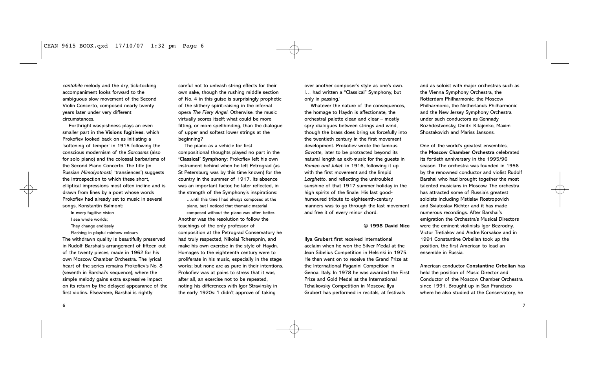*cantabile* melody and the dry, tick-tocking accompaniment looks forward to the ambiguous slow movement of the Second Violin Concerto, composed nearly twenty years later under very different circumstances.

Forthright waspishness plays an even smaller part in the **Visions fugitives**, which Prokofiev looked back on as initiating a 'softening of temper' in 1915 following the conscious modernism of the *Sarcasms* (also for solo piano) and the colossal barbarisms of the Second Piano Concerto. The title (in Russian *Mimolyotnosti*, 'transiences') suggests the introspection to which these short, elliptical impressions most often incline and is drawn from lines by a poet whose words Prokofiev had already set to music in several songs, Konstantin Balmont:

- In every fugitive vision
- I see whole worlds;
- They change endlessly
- Flashing in playful rainbow colours.

The withdrawn quality is beautifully preserved in Rudolf Barshai's arrangement of fifteen out of the twenty pieces, made in 1962 for his own Moscow Chamber Orchestra. The lyrical heart of the series remains Prokofiev's No. 8 (seventh in Barshai's sequence), where the simple melody gains extra expressive impact on its return by the delayed appearance of the first violins. Elsewhere, Barshai is rightly

careful not to unleash string effects for their own sake, though the rushing middle section of No. 4 in this guise is surprisingly prophetic of the slithery spirit-raising in the infernal opera *The Fiery Angel*. Otherwise, the music virtually scores itself; what could be more fitting, or more spellbinding, than the dialogue of upper and softest lower strings at the beginning?

The piano as a vehicle for first compositional thoughts played no part in the **'Classical' Symphony**; Prokofiev left his own instrument behind when he left Petrograd (as St Petersburg was by this time known) for the country in the summer of 1917. Its absence was an important factor, he later reflected, in the strength of the Symphony's inspirations: …until this time I had always composed at the

piano, but I noticed that thematic material composed without the piano was often better. Another was the resolution to follow the teachings of the only professor of composition at the Petrograd Conservatory he had truly respected, Nikolai Tcherepnin, and make his own exercise in the style of Haydn. Homages to the eighteenth century were to proliferate in his music, especially in the stage works; but none are as pure in their intentions. Prokofiev was at pains to stress that it was, after all, an exercise not to be repeated, noting his differences with Igor Stravinsky in the early 1920s: 'I didn't approve of taking

over another composer's style as one's own. I… had written a "Classical" Symphony, but only in passing.'

Whatever the nature of the consequences, the homage to Haydn is affectionate, the orchestral palette clean and clear – mostly spry dialogues between strings and wind, though the brass does bring us forcefully into the twentieth century in the first movement development. Prokofiev wrote the famous *Gavotte*, later to be protracted beyond its natural length as exit-music for the guests in *Romeo and Juliet*, in 1916, following it up with the first movement and the limpid *Larghetto*, and reflecting the untroubled sunshine of that 1917 summer holiday in the high spirits of the finale. His last goodhumoured tribute to eighteenth-century manners was to go through the last movement and free it of every minor chord.

#### **© 1998 David Nice**

**Ilya Grubert** first received international acclaim when he won the Silver Medal at the Jean Sibelius Competition in Helsinki in 1975. He then went on to receive the Grand Prize at the International Paganini Compeition in Genoa, Italy. In 1978 he was awarded the First Prize and Gold Medal at the International Tchaikovsky Competition in Moscow. Ilya Grubert has performed in recitals, at festivals

and as soloist with major orchestras such as the Vienna Symphony Orchestra, the Rotterdam Philharmonic, the Moscow Philharmonic, the Netherlands Philharmonic and the New Jersey Symphony Orchestra under such conductors as Gennady Rozhdestvensky, Dmitri Kitajenko, Maxim Shostakovich and Mariss Jansons.

One of the world's greatest ensembles, the **Moscow Chamber Orchestra** celebrated its fortieth anniversary in the 1995/96 season. The orchestra was founded in 1956 by the renowned conductor and violist Rudolf Barshai who had brought together the most talented musicians in Moscow. The orchestra has attracted some of Russia's greatest soloists including Mstislav Rostropovich and Sviatoslav Richter and it has made numerous recordings. After Barshai's emigration the Orchestra's Musical Directors were the eminent violinists Igor Bezrodny, Victor Tretiakov and Andre Korsakov and in 1991 Constantine Orbelian took up the position, the first American to lead an ensemble in Russia.

American conductor **Constantine Orbelian** has held the position of Music Director and Conductor of the Moscow Chamber Orchestra since 1991. Brought up in San Francisco where he also studied at the Conservatory, he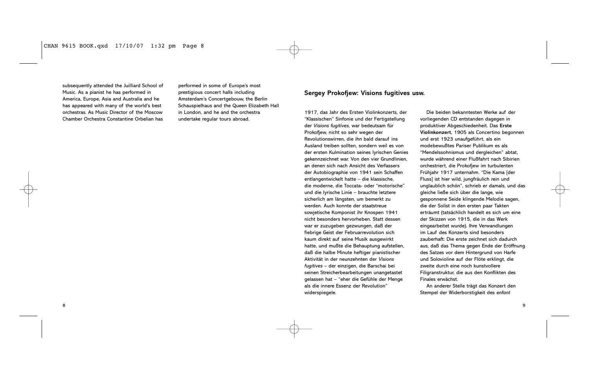subsequently attended the Juilliard School of Music. As a pianist he has performed in America, Europe, Asia and Australia and he has appeared with many of the world's best orchestras. As Music Director of the Moscow Chamber Orchestra Constantine Orbelian has

8

performed in some of Europe's most prestigious concert halls including Amsterdam's Concertgebouw, the Berlin Schauspielhaus and the Queen Elizabeth Hall in London, and he and the orchestra undertake regular tours abroad.

## **Sergey Prokofjew: Visions fugitives usw.**

1917, das Jahr des Ersten Violinkonzerts, der "Klassischen" Sinfonie und der Fertigstellung der *Visions fugitives*, war bedeutsam für Prokofjew, nicht so sehr wegen der Revolutionswirren, die ihn bald darauf ins Ausland treiben sollten, sondern weil es von der ersten Kulmination seines lyrischen Genies gekennzeichnet war. Von den vier Grundlinien, an denen sich nach Ansicht des Verfassers der Autobiographie von 1941 sein Schaffen entlangentwickelt hatte – die klassische, die moderne, die Toccata- oder "motorische" und die lyrische Linie – brauchte letztere sicherlich am längsten, um bemerkt zu werden. Auch konnte der staatstreue sowjetische Komponist ihr Knospen 1941 nicht besonders hervorheben. Statt dessen war er zuzugeben gezwungen, daß der fiebrige Geist der Februarrevolution sich kaum direkt auf seine Musik ausgewirkt hatte, und mußte die Behauptung aufstellen, daß die halbe Minute heftiger pianistischer Aktivität in der neunzehnten der *Visions fugitives* – der einzigen, die Barschai bei seinen Streicherbearbeitungen unangetastet gelassen hat – "eher die Gefühle der Menge als die innere Essenz der Revolution" widerspiegele.

Die beiden bekanntesten Werke auf der vorliegenden CD entstanden dagegen in produktiver Abgeschiedenheit. Das **Erste Violinkonzert**, 1905 als Concertino begonnen und erst 1923 unaufgeführt, als ein modebewußtes Pariser Publikum es als "Mendelssohnismus und dergleichen" abtat, wurde während einer Flußfahrt nach Sibirien orchestriert, die Prokofjew im turbulenten Frühjahr 1917 unternahm. "Die Kama [der Fluss] ist hier wild, jungfräulich rein und unglaublich schön", schrieb er damals, und das gleiche ließe sich über die lange, wie gesponnene Seide klingende Melodie sagen, die der Solist in den ersten paar Takten erträumt (tatsächlich handelt es sich um eine der Skizzen von 1915, die in das Werk eingearbeitet wurde). Ihre Verwandlungen im Lauf des Konzerts sind besonders zauberhaft: Die erste zeichnet sich dadurch aus, daß das Thema gegen Ende der Eröffnung des Satzes vor dem Hintergrund von Harfe und Solovioline auf der Flöte erklingt, die zweite durch eine noch kunstvollere Filigranstruktur, die aus den Konflikten des Finales erwächst.

An anderer Stelle trägt das Konzert den Stempel der Widerborstigkeit des *enfant*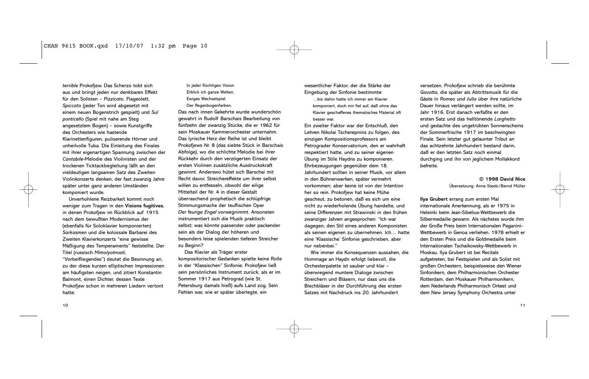*terrible* Prokofjew. Das Scherzo tobt sich aus und bringt jeden nur denkbaren Effekt für den Solisten – *Pizzicato*, Flageolett, *Spiccato* (jeder Ton wird abgesetzt mit einem neuen Bogenstrich gespielt) und *Sul ponticello* (Spiel mit nahe am Steg angesetztem Bogen) – sowie Kunstgriffe des Orchesters wie hastende Klarinettenfiguren, puliserende Hörner und unheilvolle Tuba. Die Einleitung des Finales mit ihrer eigenartigen Spannung zwischen der *Cantabile*-Melodie des Violinisten und der trockenen Ticktackbegleitung läßt an den vieldeutigen langsamen Satz des Zweiten Violinkonzerts denken, der fast zwanzig Jahre später unter ganz anderen Umständen komponiert wurde.

Unverhohlene Reizbarkeit kommt noch weniger zum Tragen in den **Visions fugitives**, in denen Prokofjew im Rückblick auf 1915 nach dem bewußten Modernismus der (ebenfalls für Soloklavier komponierten) *Sarkasmen* und die kolossale Barbarei des Zweiten Klavierkonzerts "eine gewisse Mäßigung des Temperaments" feststellte. Der Titel (russisch *Mimolyotnosti*,

"Vorbeifliegendes") deutet die Besinnung an, zu der diese kurzen elliptischen Impressionen am häufigsten neigen, und zitiert Konstantin Balmont, einen Dichter, dessen Texte Prokofjew schon in mehreren Liedern vertont hatte:

In jeder flüchtigen Vision Erblick ich ganze Welten, Ewiges Wechselspiel Der Regenbogenfarben.

Das nach innen Gekehrte wurde wunderschön gewahrt in Rudolf Barschais Bearbeitung von fünfzehn der zwanzig Stücke, die er 1962 für sein Moskauer Kammerorchester unternahm. Das lyrische Herz der Reihe ist und bleibt Prokofjews Nr. 8 (das siebte Stück in Barschais Abfolge), wo die schlichte Melodie bei ihrer Rückkehr durch den verzögerten Einsatz der ersten Violinen zusätzliche Ausdruckskraft gewinnt. Anderswo hütet sich Barschai mit Recht davor, Streichereffekte um ihrer selbst willen zu entfesseln, obwohl der eilige Mittelteil der Nr. 4 in dieser Gestalt überraschend prophetisch die schlüpfrige Stimmungsmache der teuflischen Oper *Der feurige Engel* vorwegnimmt. Ansonsten instrumentiert sich die Musik praktisch selbst; was könnte passender oder packender sein als der Dialog der höheren und besonders leise spielenden tieferen Streicher zu Beginn?

Das Klavier als Träger erster kompositorischer Gedanken spielte keine Rolle in der "Klassischen" Sinfonie; Prokofjew ließ sein persönliches Instrument zurück, als er im Sommer 1917 aus Petrograd (wie St. Petersburg damals hieß) aufs Land zog. Sein Fehlen war, wie er später überlegte, ein

wesentlicher Faktor, der die Stärke der Eingebung der Sinfonie bestimmte:

…bis dahin hatte ich immer am Klavier komponiert, doch mir fiel auf, daß ohne das Klavier geschaffenes thematisches Material oft besser war.

Ein zweiter Faktor war der Entschluß, den Lehren Nikolai Tscherepnins zu folgen, des einzigen Kompositionsprofessors am Petrograder Konservatorium, den er wahrhaft respektiert hatte, und zu seiner eigenen Übung im Stile Haydns zu komponieren. Ehrbezeugungen gegenüber dem 18. Jahrhundert sollten in seiner Musik, vor allem in den Bühnenwerken, später vermehrt vorkommen; aber keine ist von der Intention her so rein. Prokofjew hat keine Mühe gescheut, zu betonen, daß es sich um eine nicht zu wiederholende Übung handelte, und seine Differenzen mit Strawinski in den frühen zwanziger Jahren angesprochen: "Ich war dagegen, den Stil eines anderen Komponisten als seinen eigenen zu übernehmen. Ich… hatte eine 'Klassische' Sinfonie geschrieben, aber nur nebenbei."

Wie immer die Konsequenzen aussahen, die Hommage an Haydn erfolgt liebevoll, die Orchesterpalette ist sauber und klar – überwiegend muntere Dialoge zwischen Streichern und Bläsern, nur dass uns die Blechbläser in der Durchführung des ersten Satzes mit Nachdruck ins 20. Jahrhundert

versetzen. Prokofjew schrieb die berühmte *Gavotta*, die später als Abtrittsmusik für die Gäste in *Romeo und Julia* über ihre natürliche Dauer hinaus verlängert werden sollte, im Jahr 1916. Erst danach verfaßte er den ersten Satz und das helltönende *Larghetto* und gedachte des ungetrübten Sonnenscheins der Sommerfrische 1917 im beschwingten Finale. Sein letzter gut gelaunter Tribut an das achtzehnte Jahrhundert bestand darin, daß er den letzten Satz noch einmal durchging und ihn von jeglichem Mollakkord befreite.

> **© 1998 David Nice** Übersetzung: Anne Steeb/Bernd Müller

**Ilya Grubert** errang zum ersten Mal internationale Anerkennung, als er 1975 in Helsinki beim Jean-Sibelius-Wettbewerb die Silbermedaille gewann. Als nächstes wurde ihm der Große Preis beim Internationalen Paganini-Wettbewerb in Genoa verliehen. 1978 erhielt er den Ersten Preis und die Goldmedaille beim Internationalen Tschaikowsky-Wettbewerb in Moskau. Ilya Grubert ist bei Recitals aufgetreten, bei Festspielen und als Solist mit großen Orchestern, beispielsweise den Wiener Sinfonikern, dem Philharmonischen Orchester Rotterdam, den Moskauer Philharmonikern, dem Nederlands Philharmonisch Orkest und dem New Jersey Symphony Orchestra unter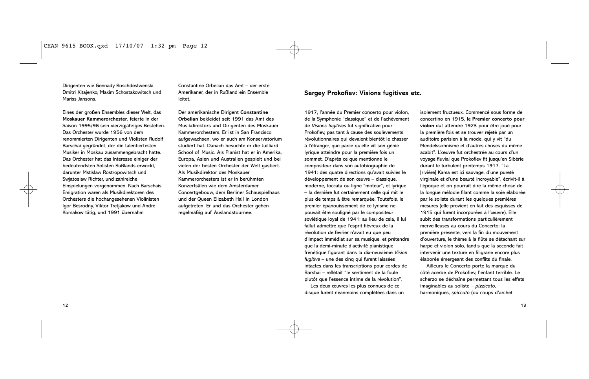Dirigenten wie Gennady Roschdestwenski, Dmitri Kitajenko, Maxim Schostakowitsch und Mariss Jansons.

Eines der großen Ensembles dieser Welt, das **Moskauer Kammerorchester**, feierte in der Saison 1995/96 sein vierzigjähriges Bestehen. Das Orchester wurde 1956 von dem renommierten Dirigenten und Violisten Rudolf Barschai gegründet, der die talentiertesten Musiker in Moskau zusammengebracht hatte. Das Orchester hat das Interesse einiger der bedeutendsten Solisten Rußlands erweckt, darunter Mstislaw Rostropowitsch und Swjatoslaw Richter, und zahlreiche Einspielungen vorgenommen. Nach Barschais Emigration waren als Musikdirektoren des Orchesters die hochangesehenen Violinisten Igor Besrodny, Viktor Tretjakow und Andre Korsakow tätig, und 1991 übernahm

Constantine Orbelian das Amt – der erste Amerikaner, der in Rußland ein Ensemble leitet.

Der amerikanische Dirigent **Constantine Orbelian** bekleidet seit 1991 das Amt des Musikdirektors und Dirigenten des Moskauer Kammerorchesters. Er ist in San Francisco aufgewachsen, wo er auch am Konservatorium studiert hat. Danach besuchte er die Juilliard School of Music. Als Pianist hat er in Amerika, Europa, Asien und Australien gespielt und bei vielen der besten Orchester der Welt gastiert. Als Musikdirektor des Moskauer Kammerorchesters ist er in berühmten Konzertsälen wie dem Amsterdamer Concertgebouw, dem Berliner Schauspielhaus und der Queen Elizabeth Hall in London aufgetreten. Er und das Orchester gehen regelmäßig auf Auslandstournee.

### **Sergey Prokofiev: Visions fugitives etc.**

1917, l'année du Premier concerto pour violon, de la Symphonie "classique" et de l'achèvement de *Visions fugitives* fut significative pour Prokofiev, pas tant à cause des soulèvements révolutionnaires qui devaient bientôt le chasser à l'étranger, que parce qu'elle vit son génie lyrique atteindre pour la première fois un sommet. D'après ce que mentionne le compositeur dans son autobiographie de 1941: des quatre directions qu'avait suivies le développement de son œuvre – classique, moderne, toccata ou ligne "moteur", et lyrique – la dernière fut certainement celle qui mit le plus de temps à être remarquée. Toutefois, le premier épanouissement de ce lyrisme ne pouvait être souligné par le compositeur soviétique loyal de 1941: au lieu de cela, il lui fallut admettre que l'esprit fiévreux de la révolution de février n'avait eu que peu d'impact immédiat sur sa musique, et prétendre que la demi-minute d'activité pianistique frénétique figurant dans la dix-neuvième *Vision fugitive* – une des cinq qui furent laissées intactes dans les transcriptions pour cordes de Barshai – reflétait "le sentiment de la foule plutôt que l'essence intime de la révolution".

Les deux œuvres les plus connues de ce disque furent néanmoins complétées dans un

isolement fructueux. Commencé sous forme de concertino en 1915, le **Premier concerto pour violon** dut attendre 1923 pour être joué pour la première fois et se trouver rejeté par un auditoire parisien à la mode, qui y vit "du Mendelssohnisme et d'autres choses du même acabit". L'œuvre fut orchestrée au cours d'un voyage fluvial que Prokofiev fit jusqu'en Sibérie durant le turbulent printemps 1917. "La [rivière] Kama est ici sauvage, d'une pureté virginale et d'une beauté incroyable", écrivit-il à l'époque et on pourrait dire la même chose de la longue mélodie filant comme la soie élaborée par le soliste durant les quelques premières mesures (elle provient en fait des esquisses de 1915 qui furent incorporées à l'œuvre). Elle subit des transformations particulièrement merveilleuses au cours du Concerto: la première présente, vers la fin du mouvement d'ouverture, le thème à la flûte se détachant sur harpe et violon solo, tandis que la seconde fait intervenir une texture en filigrane encore plus élaborée émergeant des conflits du finale.

Ailleurs le Concerto porte la marque du côté acerbe de Prokofiev, l'enfant terrible. Le scherzo se déchaîne permettant tous les effets imaginables au soliste – *pizzicato*, harmoniques, *spiccato* (ou coups d'archet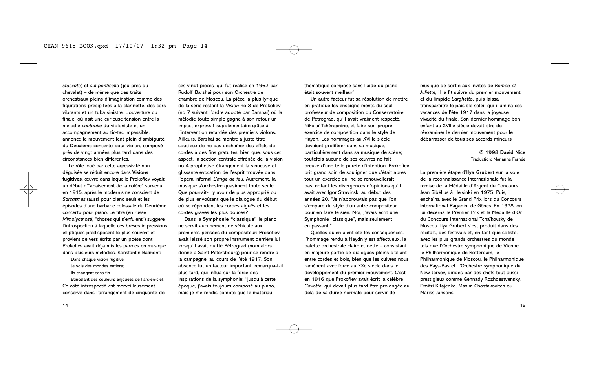*staccato*) et *sul ponticello* (jeu près du chevalet) – de même que des traits orchestraux pleins d'imagination comme des figurations précipitées à la clarinette, des cors vibrants et un tuba sinistre. L'ouverture du finale, où naît une curieuse tension entre la mélodie *cantabile* du violoniste et un accompagnement au tic-tac impassible, annonce le mouvement lent plein d'ambiguïté du Deuxième concerto pour violon, composé près de vingt années plus tard dans des circonstances bien différentes.

Le rôle joué par cette agressivité non déguisée se réduit encore dans **Visions fugitives**, œuvre dans laquelle Prokofiev voyait un début d'"apaisement de la colère" survenu en 1915, après le modernisme conscient de *Sarcasmes* (aussi pour piano seul) et les épisodes d'une barbarie colossale du Deuxième concerto pour piano. Le titre (en russe *Mimolyotnosti*, "choses qui s'enfuient") suggère l'introspection à laquelle ces brèves impressions elliptiques prédisposent le plus souvent et provient de vers écrits par un poète dont Prokofiev avait déjà mis les paroles en musique dans plusieurs mélodies, Konstantin Balmont:

Dans chaque vision fugitive Je vois des mondes entiers;

Ils changent sans fin

Etincelant des couleurs enjouées de l'arc-en-ciel. Ce côté introspectif est merveilleusement conservé dans l'arrangement de cinquante de

ces vingt pièces, qui fut réalisé en 1962 par Rudolf Barshai pour son Orchestre de chambre de Moscou. La pièce la plus lyrique de la série restant la *Vision* no 8 de Prokofiev (no 7 suivant l'ordre adopté par Barshai) où la mélodie toute simple gagne à son retour un impact expressif supplémentaire grâce à l'intervention retardée des premiers violons. Ailleurs, Barshai se montre à juste titre soucieux de ne pas déchaîner des effets de cordes à des fins gratuites, bien que, sous cet aspect, la section centrale effrénée de la vision no 4 prophétise étrangement la sinueuse et glissante évocation de l'esprit trouvée dans l'opéra infernal *L'ange de feu*. Autrement, la musique s'orchestre quasiment toute seule. Que pourrait-il y avoir de plus approprié ou de plus envoûtant que le dialogue du début où se répondent les cordes aiguës et les cordes graves les plus douces?

Dans la **Symphonie "classique"** le piano ne servit aucunement de véhicule aux premières pensées du compositeur: Prokofiev avait laissé son propre instrument derrière lui lorsqu'il avait quitté Pétrograd (nom alors donné à Saint-Pétersbourg) pour se rendre à la campagne, au cours de l'été 1917. Son absence fut un facteur important, remarqua-t-il plus tard, qui influa sur la force des inspirations de la symphonie: "jusqu'à cette époque, j'avais toujours composé au piano, mais je me rendis compte que le matériau

thématique composé sans l'aide du piano était souvent meilleur".

Un autre facteur fut sa résolution de mettre en pratique les enseigne-ments du seul professeur de composition du Conservatoire de Pétrograd, qu'il avait vraiment respecté, Nikolaï Tchérepnine, et faire son propre exercice de composition dans le style de Haydn. Les hommages au XVIIIe siècle devaient proliférer dans sa musique, particulièrement dans sa musique de scène; toutefois aucune de ses œuvres ne fait preuve d'une telle pureté d'intention. Prokofiev prit grand soin de souligner que c'était après tout un exercice qui ne se renouvellerait pas, notant les divergences d'opinions qu'il avait avec Igor Stravinski au début des années 20. "Je n'approuvais pas que l'on s'empare du style d'un autre compositeur pour en faire le sien. Moi, j'avais écrit une Symphonie "classique", mais seulement en passant."

Quelles qu'en aient été les conséquences, l'hommage rendu à Haydn y est affectueux, la palette orchestrale claire et nette – consistant en majeure partie de dialogues pleins d'allant entre cordes et bois, bien que les cuivres nous ramènent avec force au XXe siècle dans le développement du premier mouvement. C'est en 1916 que Prokofiev avait écrit la célèbre *Gavotte*, qui devait plus tard être prolongée au delà de sa durée normale pour servir de

musique de sortie aux invités de *Roméo et Juliette*, il la fit suivre du premier mouvement et du limpide *Larghetto*, puis laissa transparaître le paisible soleil qui illumina ces vacances de l'été 1917 dans la joyeuse vivacité du finale. Son dernier hommage bon enfant au XVIIIe siècle devait être de réexaminer le dernier mouvement pour le débarrasser de tous ses accords mineurs.

> **© 1998 David Nice** Traduction: Marianne Fernée

La première étape d'**Ilya Grubert** sur la voie de la reconnaissance internationale fut la remise de la Médaille d'Argent du Concours Jean Sibélius à Helsinki en 1975. Puis, il enchaîna avec le Grand Prix lors du Concours International Paganini de Gênes. En 1978, on lui décerna le Premier Prix et la Médaille d'Or du Concours International Tchaïkovsky de Moscou. Ilya Grubert s'est produit dans des récitals, des festivals et, en tant que soliste, avec les plus grands orchestres du monde tels que l'Orchestre symphonique de Vienne, le Philharmonique de Rotterdam, le Philharmonique de Moscou, le Philharmonique des Pays-Bas et, l'Orchestre symphonique du New-Jersey, dirigés par des chefs tout aussi prestigieux comme Gennady Rozhdestvensky, Dmitri Kitajenko, Maxim Chostakovitch ou Mariss Jansons.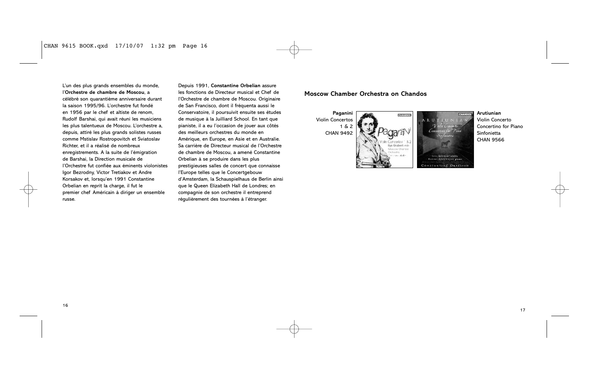L'un des plus grands ensembles du monde, l'**Orchestre de chambre de Moscou**, a célébré son quarantième anniversaire durant la saison 1995/96. L'orchestre fut fondé en 1956 par le chef et altiste de renom, Rudolf Barshai, qui avait réuni les musiciens les plus talentueux de Moscou. L'orchestre a, depuis, attiré les plus grands solistes russes comme Mstislav Rostropovitch et Sviatoslav Richter, et il a réalisé de nombreux enregistrements. A la suite de l'émigration de Barshai, la Direction musicale de l'Orchestre fut confiée aux éminents violonistes Igor Bezrodny, Victor Tretiakov et Andre Korsakov et, lorsqu'en 1991 Constantine Orbelian en reprit la charge, il fut le premier chef Américain à diriger un ensemble russe.

Depuis 1991, **Constantine Orbelian** assure les fonctions de Directeur musical et Chef de l'Orchestre de chambre de Moscou. Originaire de San Francisco, dont il fréquenta aussi le Conservatoire, il poursuivit ensuite ses études de musique à la Juilliard School. En tant que pianiste, il a eu l'occasion de jouer aux côtés des meilleurs orchestres du monde en Amérique, en Europe, en Asie et en Australie. Sa carrière de Directeur musical de l'Orchestre de chambre de Moscou, a amené Constantine Orbelian à se produire dans les plus prestigieuses salles de concert que connaisse l'Europe telles que le Concertgebouw d'Amsterdam, la Schauspielhaus de Berlin ainsi que le Queen Elizabeth Hall de Londres; en compagnie de son orchestre il entreprend régulièrement des tournées à l'étranger.

## **Moscow Chamber Orchestra on Chandos**



**Arutiunian** Violin Concerto Concertino for Piano Sinfonietta CHAN 9566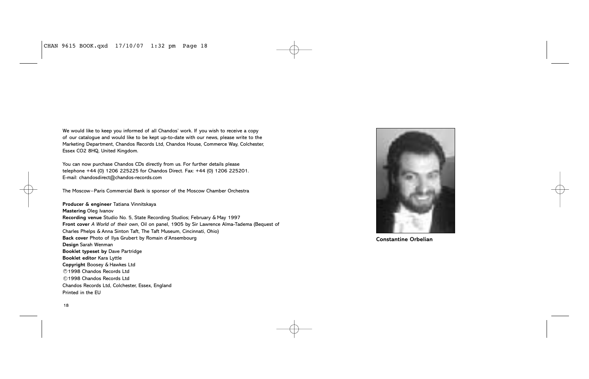CHAN 9615 BOOK.qxd 17/10/07 1:32 pm Page 18

We would like to keep you informed of all Chandos' work. If you wish to receive a copy of our catalogue and would like to be kept up-to-date with our news, please write to the Marketing Department, Chandos Records Ltd, Chandos House, Commerce Way, Colchester, Essex CO2 8HQ, United Kingdom.

You can now purchase Chandos CDs directly from us. For further details please telephone +44 (0) 1206 225225 for Chandos Direct. Fax: +44 (0) 1206 225201. E-mail: chandosdirect@chandos-records.com

The Moscow–Paris Commercial Bank is sponsor of the Moscow Chamber Orchestra

**Producer & engineer** Tatiana Vinnitskaya **Mastering** Oleg Ivanov **Recording venue** Studio No. 5, State Recording Studios; February & May 1997 **Front cover** *A World of their own*, Oil on panel, 1905 by Sir Lawrence Alma-Tadema (Bequest of Charles Phelps & Anna Sinton Taft, The Taft Museum, Cincinnati, Ohio) **Back cover** Photo of Ilya Grubert by Romain d'Ansembourg **Design** Sarah Wenman **Booklet typeset by** Dave Partridge **Booklet editor** Kara Lyttle **Copyright** Boosey & Hawkes Ltd 1998 Chandos Records Ltd P 1998 Chandos Records Ltd C Chandos Records Ltd, Colchester, Essex, England Printed in the EU



**Constantine Orbelian**

18